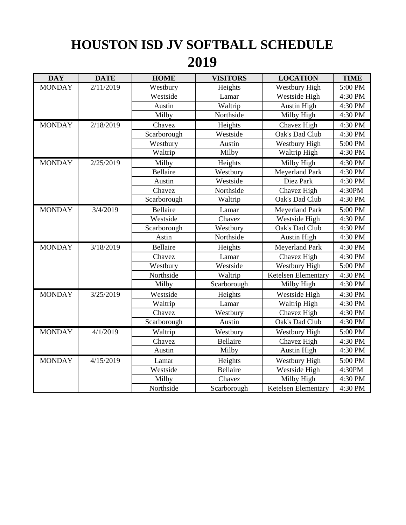## **HOUSTON ISD JV SOFTBALL SCHEDULE 2019**

| <b>DAY</b>    | <b>DATE</b> | <b>HOME</b>     | <b>VISITORS</b> | <b>LOCATION</b>            | <b>TIME</b> |
|---------------|-------------|-----------------|-----------------|----------------------------|-------------|
| <b>MONDAY</b> | 2/11/2019   | Westbury        | Heights         | <b>Westbury High</b>       | 5:00 PM     |
|               |             | Westside        | Lamar           | Westside High              | 4:30 PM     |
|               |             | Austin          | Waltrip         | <b>Austin High</b>         | 4:30 PM     |
|               |             | Milby           | Northside       | Milby High                 | 4:30 PM     |
| <b>MONDAY</b> | 2/18/2019   | Chavez          | Heights         | Chavez High                | 4:30 PM     |
|               |             | Scarborough     | Westside        | Oak's Dad Club             | 4:30 PM     |
|               |             | Westbury        | Austin          | Westbury High              | 5:00 PM     |
|               |             | Waltrip         | Milby           | Waltrip High               | 4:30 PM     |
| <b>MONDAY</b> | 2/25/2019   | Milby           | Heights         | Milby High                 | 4:30 PM     |
|               |             | <b>Bellaire</b> | Westbury        | Meyerland Park             | 4:30 PM     |
|               |             | Austin          | Westside        | Diez Park                  | 4:30 PM     |
|               |             | Chavez          | Northside       | Chavez High                | 4:30PM      |
|               |             | Scarborough     | Waltrip         | Oak's Dad Club             | $4:30$ PM   |
| <b>MONDAY</b> | 3/4/2019    | Bellaire        | Lamar           | Meyerland Park             | 5:00 PM     |
|               |             | Westside        | Chavez          | Westside High              | 4:30 PM     |
|               |             | Scarborough     | Westbury        | Oak's Dad Club             | 4:30 PM     |
|               |             | Astin           | Northside       | <b>Austin High</b>         | 4:30 PM     |
| <b>MONDAY</b> | 3/18/2019   | Bellaire        | Heights         | <b>Meyerland Park</b>      | 4:30 PM     |
|               |             | Chavez          | Lamar           | Chavez High                | 4:30 PM     |
|               |             | Westbury        | Westside        | Westbury High              | 5:00 PM     |
|               |             | Northside       | Waltrip         | <b>Ketelsen Elementary</b> | 4:30 PM     |
|               |             | Milby           | Scarborough     | Milby High                 | 4:30 PM     |
| <b>MONDAY</b> | 3/25/2019   | Westside        | Heights         | Westside High              | 4:30 PM     |
|               |             | Waltrip         | Lamar           | Waltrip High               | 4:30 PM     |
|               |             | Chavez          | Westbury        | Chavez High                | 4:30 PM     |
|               |             | Scarborough     | Austin          | Oak's Dad Club             | 4:30 PM     |
| <b>MONDAY</b> | 4/1/2019    | Waltrip         | Westbury        | Westbury High              | 5:00 PM     |
|               |             | Chavez          | <b>Bellaire</b> | Chavez High                | 4:30 PM     |
|               |             | Austin          | Milby           | <b>Austin High</b>         | 4:30 PM     |
| <b>MONDAY</b> | 4/15/2019   | Lamar           | Heights         | <b>Westbury High</b>       | 5:00 PM     |
|               |             | Westside        | <b>Bellaire</b> | Westside High              | 4:30PM      |
|               |             | Milby           | Chavez          | Milby High                 | 4:30 PM     |
|               |             | Northside       | Scarborough     | <b>Ketelsen Elementary</b> | 4:30 PM     |